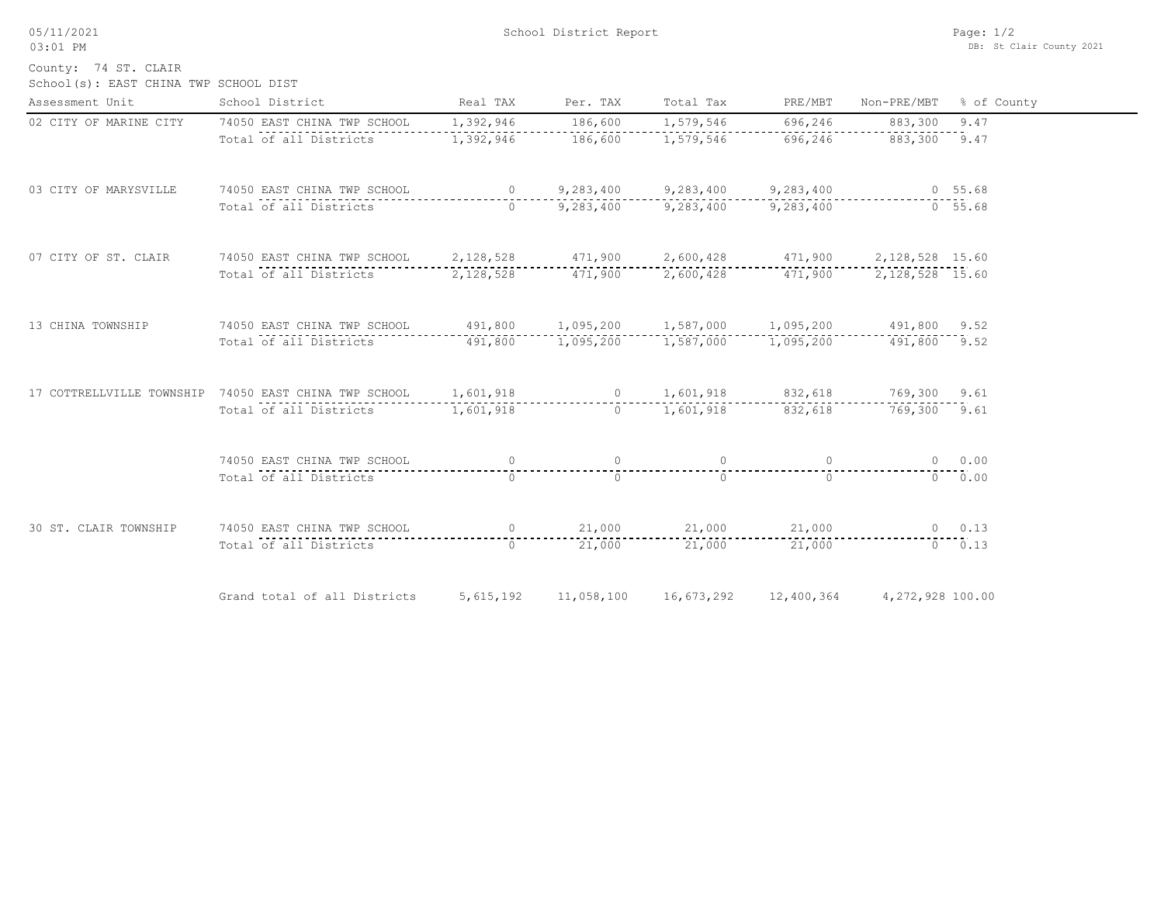05/11/2021 03:01 PM

School(s): EAST CHINA TWP SCHOOL DIST County: 74 ST. CLAIR

| Assessment Unit        | School District                                                                                  | Real TAX                                            | Per. TAX       | Total Tax             | PRE/MBT        | Non-PRE/MBT      | % of County |
|------------------------|--------------------------------------------------------------------------------------------------|-----------------------------------------------------|----------------|-----------------------|----------------|------------------|-------------|
| 02 CITY OF MARINE CITY | 74050 EAST CHINA TWP SCHOOL                                                                      | 1,392,946                                           | 186,600        | 1,579,546             | 696,246        | 883,300          | 9.47        |
|                        | Total of all Districts                                                                           | 1,392,946                                           | 186,600        | 1,579,546             | 696, 246       | 883,300 9.47     |             |
| 03 CITY OF MARYSVILLE  | 74050 EAST CHINA TWP SCHOOL                                                                      | $\overline{0}$                                      |                | 9,283,400 9,283,400   | 9,283,400      | $0\quad 55.68$   |             |
|                        | Total of all Districts                                                                           | $\bigcap$                                           |                | 9,283,400 9,283,400   | 9,283,400      |                  | $-0$ 55.68  |
| 07 CITY OF ST. CLAIR   | 74050 EAST CHINA TWP SCHOOL                                                                      | 2,128,528 471,900 2,600,428 471,900 2,128,528 15.60 |                |                       |                |                  |             |
|                        | Total of all Districts                                                                           | 2,128,528                                           |                |                       |                |                  |             |
| 13 CHINA TOWNSHIP      | 74050 EAST CHINA TWP SCHOOL 491,800 1,095,200 1,587,000 1,095,200 491,800 9.52                   |                                                     |                |                       |                |                  |             |
|                        | Total of all Districts                                                                           | 491,800 1,095,200 1,587,000                         |                |                       | 1,095,200      | 491,800 9.52     |             |
|                        | 17 COTTRELLVILLE TOWNSHIP 74050 EAST CHINA TWP SCHOOL 1,601,918 0 1,601,918 832,618 769,300 9.61 |                                                     |                |                       |                |                  |             |
|                        | Total of all Districts 1,601,918                                                                 |                                                     |                | 0 $1,601,918$ 832,618 |                | 769,300 9.61     |             |
|                        | 74050 EAST CHINA TWP SCHOOL                                                                      | $\overline{0}$                                      | $\overline{0}$ | $\sim$ 0              | $\overline{0}$ |                  | $0 \t 0.00$ |
|                        | Total of all Districts                                                                           | $\bigcap$                                           | $\Omega$       | $\Omega$              | $\Omega$       |                  | $0 \t 0.00$ |
| 30 ST. CLAIR TOWNSHIP  | 74050 EAST CHINA TWP SCHOOL                                                                      |                                                     | $\overline{0}$ | 21,000 21,000         | 21,000         |                  | $0 \t 0.13$ |
|                        | Total of all Districts                                                                           | $\Omega$                                            | 21,000         | 21,000                | 21,000         |                  | $0 \t 0.13$ |
|                        | Grand total of all Districts                                                                     | 5,615,192                                           | 11,058,100     | 16,673,292            | 12,400,364     | 4,272,928 100.00 |             |